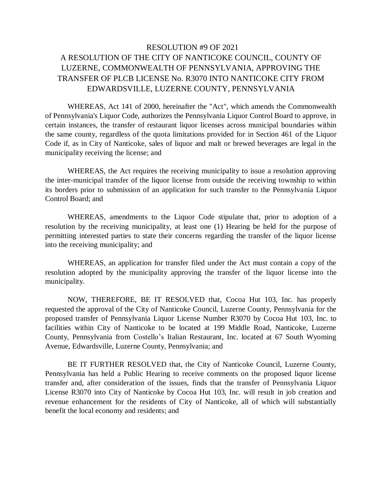## RESOLUTION #9 OF 2021 A RESOLUTION OF THE CITY OF NANTICOKE COUNCIL, COUNTY OF LUZERNE, COMMONWEALTH OF PENNSYLVANIA, APPROVING THE TRANSFER OF PLCB LICENSE No. R3070 INTO NANTICOKE CITY FROM EDWARDSVILLE, LUZERNE COUNTY, PENNSYLVANIA

WHEREAS, Act 141 of 2000, hereinafter the "Act", which amends the Commonwealth of Pennsylvania's Liquor Code, authorizes the Pennsylvania Liquor Control Board to approve, in certain instances, the transfer of restaurant liquor licenses across municipal boundaries within the same county, regardless of the quota limitations provided for in Section 461 of the Liquor Code if, as in City of Nanticoke, sales of liquor and malt or brewed beverages are legal in the municipality receiving the license; and

WHEREAS, the Act requires the receiving municipality to issue a resolution approving the inter-municipal transfer of the liquor license from outside the receiving township to within its borders prior to submission of an application for such transfer to the Pennsylvania Liquor Control Board; and

WHEREAS, amendments to the Liquor Code stipulate that, prior to adoption of a resolution by the receiving municipality, at least one (1) Hearing be held for the purpose of permitting interested parties to state their concerns regarding the transfer of the liquor license into the receiving municipality; and

WHEREAS, an application for transfer filed under the Act must contain a copy of the resolution adopted by the municipality approving the transfer of the liquor license into the municipality.

NOW, THEREFORE, BE IT RESOLVED that, Cocoa Hut 103, Inc. has properly requested the approval of the City of Nanticoke Council, Luzerne County, Pennsylvania for the proposed transfer of Pennsylvania Liquor License Number R3070 by Cocoa Hut 103, Inc. to facilities within City of Nanticoke to be located at 199 Middle Road, Nanticoke, Luzerne County, Pennsylvania from Costello's Italian Restaurant, Inc. located at 67 South Wyoming Avenue, Edwardsville, Luzerne County, Pennsylvania; and

BE IT FURTHER RESOLVED that, the City of Nanticoke Council, Luzerne County, Pennsylvania has held a Public Hearing to receive comments on the proposed liquor license transfer and, after consideration of the issues, finds that the transfer of Pennsylvania Liquor License R3070 into City of Nanticoke by Cocoa Hut 103, Inc. will result in job creation and revenue enhancement for the residents of City of Nanticoke, all of which will substantially benefit the local economy and residents; and